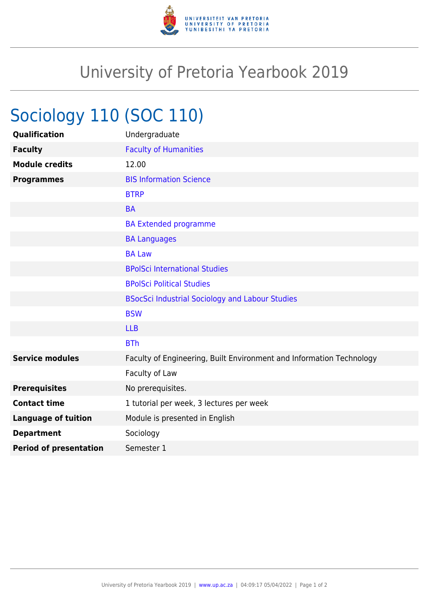

## University of Pretoria Yearbook 2019

## Sociology 110 (SOC 110)

| Qualification                 | Undergraduate                                                        |
|-------------------------------|----------------------------------------------------------------------|
| <b>Faculty</b>                | <b>Faculty of Humanities</b>                                         |
| <b>Module credits</b>         | 12.00                                                                |
| <b>Programmes</b>             | <b>BIS Information Science</b>                                       |
|                               | <b>BTRP</b>                                                          |
|                               | <b>BA</b>                                                            |
|                               | <b>BA Extended programme</b>                                         |
|                               | <b>BA Languages</b>                                                  |
|                               | <b>BA Law</b>                                                        |
|                               | <b>BPolSci International Studies</b>                                 |
|                               | <b>BPolSci Political Studies</b>                                     |
|                               | <b>BSocSci Industrial Sociology and Labour Studies</b>               |
|                               | <b>BSW</b>                                                           |
|                               | <b>LLB</b>                                                           |
|                               | <b>BTh</b>                                                           |
| <b>Service modules</b>        | Faculty of Engineering, Built Environment and Information Technology |
|                               | Faculty of Law                                                       |
| <b>Prerequisites</b>          | No prerequisites.                                                    |
| <b>Contact time</b>           | 1 tutorial per week, 3 lectures per week                             |
| <b>Language of tuition</b>    | Module is presented in English                                       |
| <b>Department</b>             | Sociology                                                            |
| <b>Period of presentation</b> | Semester 1                                                           |